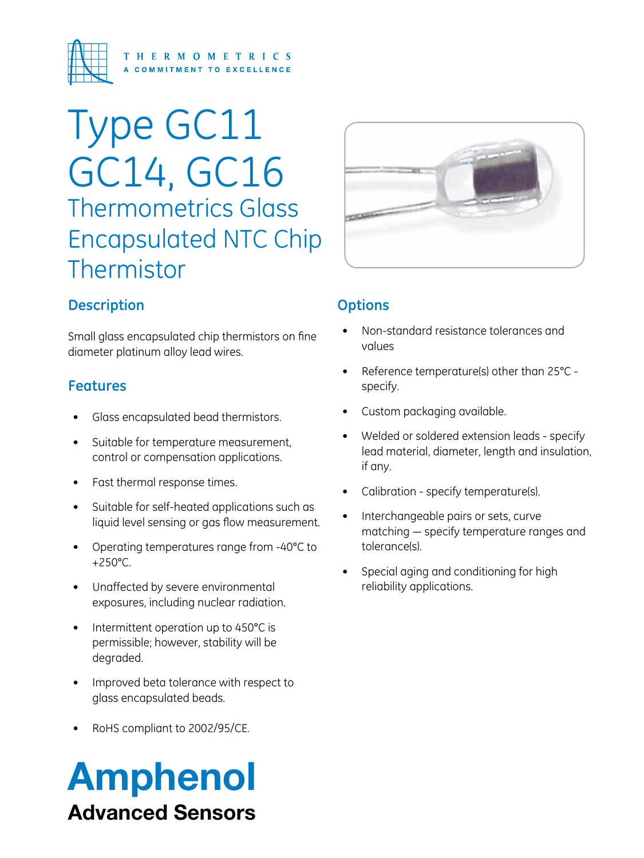

# Type GC11 GC14, GC16 Thermometrics Glass Encapsulated NTC Chip Thermistor

#### **Description**

Small glass encapsulated chip thermistors on fine diameter platinum alloy lead wires.

#### **Features**

- Glass encapsulated bead thermistors.
- • Suitable for temperature measurement, control or compensation applications.
- Fast thermal response times.
- Suitable for self-heated applications such as liquid level sensing or gas flow measurement.
- • Operating temperatures range from -40°C to +250°C.
- • Unaffected by severe environmental exposures, including nuclear radiation.
- Intermittent operation up to 450°C is permissible; however, stability will be degraded.
- Improved beta tolerance with respect to glass encapsulated beads.
- RoHS compliant to 2002/95/CE.

# Amphenol Advanced Sensors



#### **Options**

- Non-standard resistance tolerances and values
- Reference temperature(s) other than  $25^{\circ}$ C specify.
- Custom packaging available.
- Welded or soldered extension leads specify lead material, diameter, length and insulation, if any.
- Calibration specify temperature(s).
- Interchangeable pairs or sets, curve matching — specify temperature ranges and tolerance(s).
- Special aging and conditioning for high reliability applications.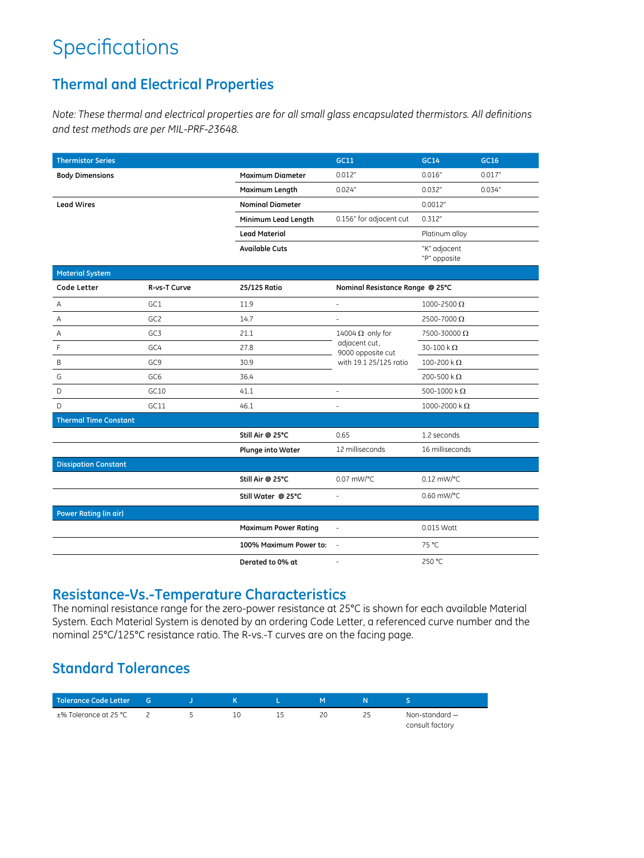## **Specifications**

#### **Thermal and Electrical Properties**

*Note: These thermal and electrical properties are for all small glass encapsulated thermistors. All definitions and test methods are per MIL-PRF-23648.*

| <b>Thermistor Series</b>     |                 | GC11                        | <b>GC14</b>                        | GC16                    |         |  |
|------------------------------|-----------------|-----------------------------|------------------------------------|-------------------------|---------|--|
| <b>Body Dimensions</b>       |                 | <b>Maximum Diameter</b>     | 0.012"                             | 0.016''                 | 0.017"  |  |
|                              |                 | Maximum Length              | 0.024''                            | 0.032"                  | 0.034'' |  |
| <b>Lead Wires</b>            |                 | <b>Nominal Diameter</b>     |                                    | 0.0012"                 |         |  |
|                              |                 | Minimum Lead Length         | 0.156" for adjacent cut            | 0.312''                 |         |  |
|                              |                 | <b>Lead Material</b>        |                                    | Platinum alloy          |         |  |
|                              |                 | <b>Available Cuts</b>       |                                    | "K" adjacent            |         |  |
|                              |                 |                             |                                    | "P" opposite            |         |  |
| <b>Material System</b>       |                 |                             |                                    |                         |         |  |
| Code Letter                  | R-vs-T Curve    | 25/125 Ratio                | Nominal Resistance Range @ 25°C    |                         |         |  |
| Α                            | GC1             | 11.9                        | ÷.                                 | 1000-2500 $\Omega$      |         |  |
| Α                            | GC <sub>2</sub> | 14.7                        |                                    | 2500-7000 $\Omega$      |         |  |
| Α                            | GC3             | 21.1                        | 14004 $\Omega$ only for            | 7500-30000Ω             |         |  |
| F                            | GC4             | 27.8                        | adjacent cut,<br>9000 opposite cut | $30-100 k\Omega$        |         |  |
| B                            | GC <sub>9</sub> | 30.9                        | with 19.1 25/125 ratio             | 100-200 k $\Omega$      |         |  |
| G                            | GC <sub>6</sub> | 36.4                        |                                    | 200-500 k $\Omega$      |         |  |
| D                            | GC10            | 41.1                        | J.                                 | 500-1000 k $\Omega$     |         |  |
| D                            | GC11            | 46.1                        | ä,                                 | 1000-2000 k $\Omega$    |         |  |
| <b>Thermal Time Constant</b> |                 |                             |                                    |                         |         |  |
|                              |                 | Still Air @ 25°C            | 0.65                               | 1.2 seconds             |         |  |
|                              |                 | <b>Plunge into Water</b>    | 12 milliseconds                    | 16 milliseconds         |         |  |
| <b>Dissipation Constant</b>  |                 |                             |                                    |                         |         |  |
|                              |                 | Still Air @ 25°C            | 0.07 mW/°C                         | $0.12$ mW/ $^{\circ}$ C |         |  |
|                              |                 | Still Water @ 25°C          | ä,                                 | 0.60 mW/°C              |         |  |
| <b>Power Rating (in air)</b> |                 |                             |                                    |                         |         |  |
|                              |                 | <b>Maximum Power Rating</b> |                                    | 0.015 Watt              |         |  |
|                              |                 | 100% Maximum Power to:      |                                    | 75 °C                   |         |  |
|                              |                 | Derated to 0% at            | ÷.                                 | 250 °C                  |         |  |

#### **Resistance-Vs.-Temperature Characteristics**

The nominal resistance range for the zero-power resistance at 25°C is shown for each available Material System. Each Material System is denoted by an ordering Code Letter, a referenced curve number and the nominal 25°C/125°C resistance ratio. The R-vs.-T curves are on the facing page.

#### **Standard Tolerances**

| Tolerance Code Letter | - G |  |    |                  |
|-----------------------|-----|--|----|------------------|
| ±% Tolerance at 25 °C |     |  | 20 | Non-standard $-$ |
|                       |     |  |    | consult factory  |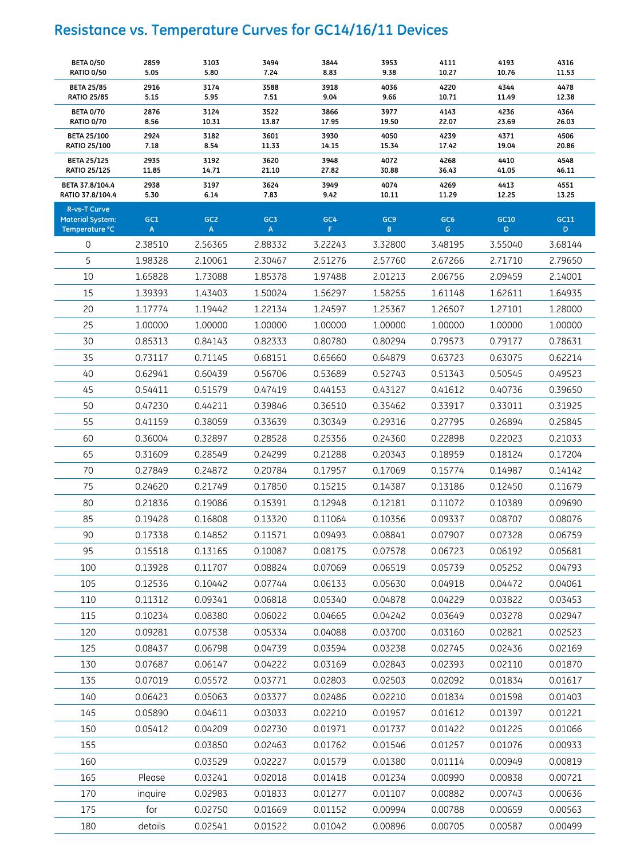### **Resistance vs. Temperature Curves for GC14/16/11 Devices**

| <b>BETA 0/50</b><br><b>RATIO 0/50</b>                            | 2859<br>5.05         | 3103<br>5.80          | 3494<br>7.24           | 3844<br>8.83           | 3953<br>9.38                   | 4111<br>10.27          | 4193<br>10.76          | 4316<br>11.53          |
|------------------------------------------------------------------|----------------------|-----------------------|------------------------|------------------------|--------------------------------|------------------------|------------------------|------------------------|
| <b>BETA 25/85</b><br><b>RATIO 25/85</b>                          | 2916                 | 3174                  | 3588                   | 3918                   | 4036                           | 4220                   | 4344                   | 4478                   |
| <b>BETA 0/70</b>                                                 | 5.15<br>2876         | 5.95<br>3124          | 7.51<br>3522           | 9.04<br>3866           | 9.66<br>3977                   | 10.71<br>4143          | 11.49<br>4236          | 12.38<br>4364          |
| <b>RATIO 0/70</b><br><b>BETA 25/100</b><br><b>RATIO 25/100</b>   | 8.56<br>2924<br>7.18 | 10.31<br>3182<br>8.54 | 13.87<br>3601<br>11.33 | 17.95<br>3930<br>14.15 | 19.50<br>4050                  | 22.07<br>4239<br>17.42 | 23.69<br>4371<br>19.04 | 26.03<br>4506<br>20.86 |
| <b>BETA 25/125</b>                                               | 2935                 | 3192                  | 3620                   | 3948                   | 15.34<br>4072                  | 4268                   | 4410                   | 4548                   |
| <b>RATIO 25/125</b><br>BETA 37.8/104.4                           | 11.85<br>2938        | 14.71<br>3197         | 21.10<br>3624          | 27.82<br>3949          | 30.88<br>4074                  | 36.43<br>4269          | 41.05<br>4413          | 46.11<br>4551          |
| RATIO 37.8/104.4                                                 | 5.30                 | 6.14                  | 7.83                   | 9.42                   | 10.11                          | 11.29                  | 12.25                  | 13.25                  |
| <b>R-vs-T Curve</b><br><b>Material System:</b><br>Temperature °C | GC1<br>A             | GC <sub>2</sub><br>A  | GC3<br>A               | GC4<br>F               | GC <sub>9</sub><br>$\mathsf B$ | GC <sub>6</sub><br>G   | GC10<br>D              | GC11<br>D              |
| 0                                                                | 2.38510              | 2.56365               | 2.88332                | 3.22243                | 3.32800                        | 3.48195                | 3.55040                | 3.68144                |
| 5                                                                | 1.98328              | 2.10061               | 2.30467                | 2.51276                | 2.57760                        | 2.67266                | 2.71710                | 2.79650                |
| 10                                                               | 1.65828              | 1.73088               | 1.85378                | 1.97488                | 2.01213                        | 2.06756                | 2.09459                | 2.14001                |
| 15                                                               | 1.39393              | 1.43403               | 1.50024                | 1.56297                | 1.58255                        | 1.61148                | 1.62611                | 1.64935                |
| 20                                                               | 1.17774              | 1.19442               | 1.22134                | 1.24597                | 1.25367                        | 1.26507                | 1.27101                | 1.28000                |
| 25                                                               | 1.00000              | 1.00000               | 1.00000                | 1.00000                | 1.00000                        | 1.00000                | 1.00000                | 1.00000                |
| 30                                                               | 0.85313              | 0.84143               | 0.82333                | 0.80780                | 0.80294                        | 0.79573                | 0.79177                | 0.78631                |
| 35                                                               | 0.73117              | 0.71145               | 0.68151                | 0.65660                | 0.64879                        | 0.63723                | 0.63075                | 0.62214                |
| 40                                                               | 0.62941              | 0.60439               | 0.56706                | 0.53689                | 0.52743                        | 0.51343                | 0.50545                | 0.49523                |
| 45                                                               | 0.54411              | 0.51579               | 0.47419                | 0.44153                | 0.43127                        | 0.41612                | 0.40736                | 0.39650                |
| 50                                                               | 0.47230              | 0.44211               | 0.39846                | 0.36510                | 0.35462                        | 0.33917                | 0.33011                | 0.31925                |
| 55                                                               | 0.41159              | 0.38059               | 0.33639                | 0.30349                | 0.29316                        | 0.27795                | 0.26894                | 0.25845                |
| 60                                                               | 0.36004              | 0.32897               | 0.28528                | 0.25356                | 0.24360                        | 0.22898                | 0.22023                | 0.21033                |
| 65                                                               | 0.31609              | 0.28549               | 0.24299                | 0.21288                | 0.20343                        | 0.18959                | 0.18124                | 0.17204                |
| 70                                                               | 0.27849              | 0.24872               | 0.20784                | 0.17957                | 0.17069                        | 0.15774                | 0.14987                | 0.14142                |
| 75                                                               | 0.24620              | 0.21749               | 0.17850                | 0.15215                | 0.14387                        | 0.13186                | 0.12450                | 0.11679                |
| 80                                                               | 0.21836              | 0.19086               | 0.15391                | 0.12948                | 0.12181                        | 0.11072                | 0.10389                | 0.09690                |
| 85                                                               | 0.19428              | 0.16808               | 0.13320                | 0.11064                | 0.10356                        | 0.09337                | 0.08707                | 0.08076                |
| 90                                                               | 0.17338              | 0.14852               | 0.11571                | 0.09493                | 0.08841                        | 0.07907                | 0.07328                | 0.06759                |
| 95                                                               | 0.15518              | 0.13165               | 0.10087                | 0.08175                | 0.07578                        | 0.06723                | 0.06192                | 0.05681                |
| 100                                                              | 0.13928              | 0.11707               | 0.08824                | 0.07069                | 0.06519                        | 0.05739                | 0.05252                | 0.04793                |
| 105                                                              | 0.12536              | 0.10442               | 0.07744                | 0.06133                | 0.05630                        | 0.04918                | 0.04472                | 0.04061                |
| 110                                                              | 0.11312              | 0.09341               | 0.06818                | 0.05340                | 0.04878                        | 0.04229                | 0.03822                | 0.03453                |
| 115                                                              | 0.10234              | 0.08380               | 0.06022                | 0.04665                | 0.04242                        | 0.03649                | 0.03278                | 0.02947                |
| 120                                                              | 0.09281              | 0.07538               | 0.05334                | 0.04088                | 0.03700                        | 0.03160                | 0.02821                | 0.02523                |
| 125                                                              | 0.08437              | 0.06798               | 0.04739                | 0.03594                | 0.03238                        | 0.02745                | 0.02436                | 0.02169                |
| 130                                                              | 0.07687              | 0.06147               | 0.04222                | 0.03169                | 0.02843                        | 0.02393                | 0.02110                | 0.01870                |
| 135                                                              | 0.07019              | 0.05572               | 0.03771                | 0.02803                | 0.02503                        | 0.02092                | 0.01834                | 0.01617                |
| 140                                                              | 0.06423              | 0.05063               | 0.03377                | 0.02486                | 0.02210                        | 0.01834                | 0.01598                | 0.01403                |
| 145                                                              | 0.05890              | 0.04611               | 0.03033                | 0.02210                | 0.01957                        | 0.01612                | 0.01397                | 0.01221                |
| 150                                                              | 0.05412              | 0.04209               | 0.02730                | 0.01971                | 0.01737                        | 0.01422                | 0.01225                | 0.01066                |
| 155                                                              |                      | 0.03850               | 0.02463                | 0.01762                | 0.01546                        | 0.01257                | 0.01076                | 0.00933                |
| 160                                                              |                      | 0.03529               | 0.02227                | 0.01579                | 0.01380                        | 0.01114                | 0.00949                | 0.00819                |
| 165                                                              | Please               | 0.03241               | 0.02018                | 0.01418                | 0.01234                        | 0.00990                | 0.00838                | 0.00721                |
| 170                                                              | inquire              | 0.02983               | 0.01833                | 0.01277                | 0.01107                        | 0.00882                | 0.00743                | 0.00636                |
| 175                                                              | for                  | 0.02750               | 0.01669                | 0.01152                | 0.00994                        | 0.00788                | 0.00659                | 0.00563                |
| 180                                                              | details              | 0.02541               | 0.01522                | 0.01042                | 0.00896                        | 0.00705                | 0.00587                | 0.00499                |